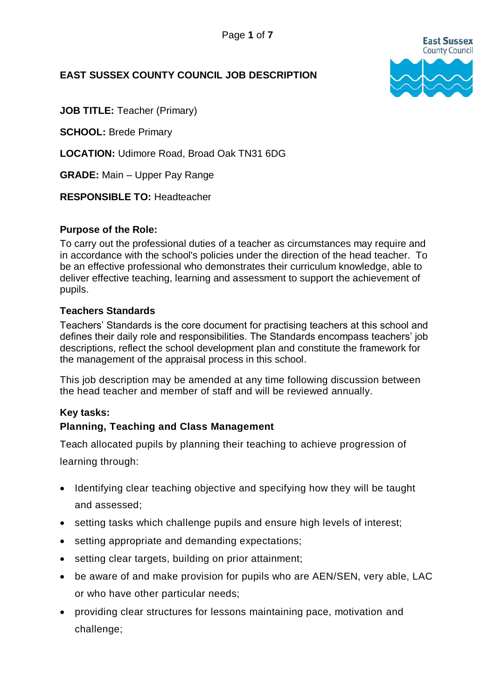

# **EAST SUSSEX COUNTY COUNCIL JOB DESCRIPTION**

**JOB TITLE:** Teacher (Primary)

**SCHOOL:** Brede Primary

**LOCATION:** Udimore Road, Broad Oak TN31 6DG

**GRADE:** Main – Upper Pay Range

**RESPONSIBLE TO:** Headteacher

# **Purpose of the Role:**

To carry out the professional duties of a teacher as circumstances may require and in accordance with the school's policies under the direction of the head teacher. To be an effective professional who demonstrates their curriculum knowledge, able to deliver effective teaching, learning and assessment to support the achievement of pupils.

### **Teachers Standards**

Teachers' Standards is the core document for practising teachers at this school and defines their daily role and responsibilities. The Standards encompass teachers' job descriptions, reflect the school development plan and constitute the framework for the management of the appraisal process in this school.

This job description may be amended at any time following discussion between the head teacher and member of staff and will be reviewed annually.

# **Key tasks:**

# **Planning, Teaching and Class Management**

Teach allocated pupils by planning their teaching to achieve progression of learning through:

- Identifying clear teaching objective and specifying how they will be taught and assessed;
- setting tasks which challenge pupils and ensure high levels of interest:
- setting appropriate and demanding expectations;
- setting clear targets, building on prior attainment;
- be aware of and make provision for pupils who are AEN/SEN, very able, LAC or who have other particular needs;
- providing clear structures for lessons maintaining pace, motivation and challenge;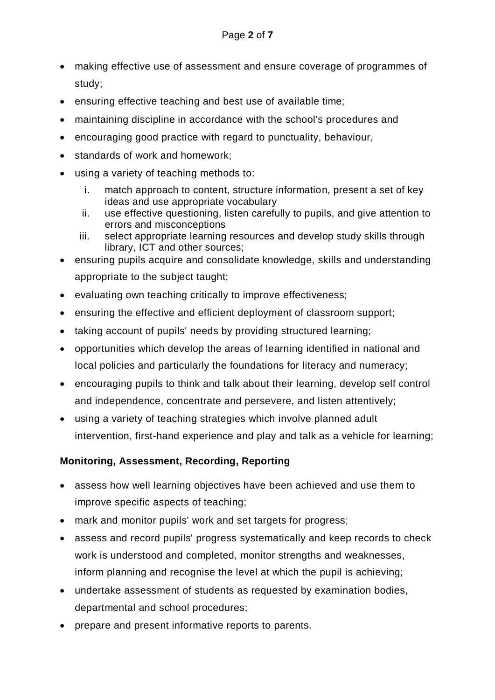- making effective use of assessment and ensure coverage of programmes of study;
- ensuring effective teaching and best use of available time;
- maintaining discipline in accordance with the school's procedures and
- encouraging good practice with regard to punctuality, behaviour,
- standards of work and homework;
- using a variety of teaching methods to:
	- i. match approach to content, structure information, present a set of key ideas and use appropriate vocabulary
	- ii. use effective questioning, listen carefully to pupils, and give attention to errors and misconceptions
	- iii. select appropriate learning resources and develop study skills through library, ICT and other sources;
- ensuring pupils acquire and consolidate knowledge, skills and understanding appropriate to the subject taught;
- evaluating own teaching critically to improve effectiveness;
- ensuring the effective and efficient deployment of classroom support;
- taking account of pupils' needs by providing structured learning;
- opportunities which develop the areas of learning identified in national and local policies and particularly the foundations for literacy and numeracy;
- encouraging pupils to think and talk about their learning, develop self control and independence, concentrate and persevere, and listen attentively;
- using a variety of teaching strategies which involve planned adult intervention, first-hand experience and play and talk as a vehicle for learning;

# **Monitoring, Assessment, Recording, Reporting**

- assess how well learning objectives have been achieved and use them to improve specific aspects of teaching;
- mark and monitor pupils' work and set targets for progress;
- assess and record pupils' progress systematically and keep records to check work is understood and completed, monitor strengths and weaknesses, inform planning and recognise the level at which the pupil is achieving;
- undertake assessment of students as requested by examination bodies, departmental and school procedures;
- prepare and present informative reports to parents.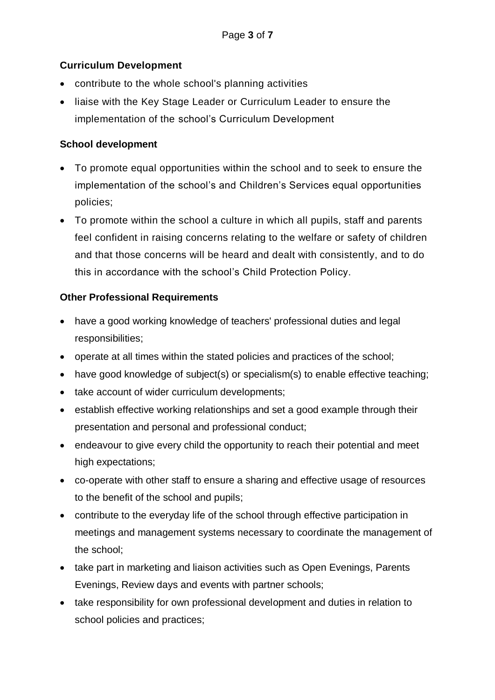### **Curriculum Development**

- contribute to the whole school's planning activities
- liaise with the Key Stage Leader or Curriculum Leader to ensure the implementation of the school's Curriculum Development

### **School development**

- To promote equal opportunities within the school and to seek to ensure the implementation of the school's and Children's Services equal opportunities policies;
- To promote within the school a culture in which all pupils, staff and parents feel confident in raising concerns relating to the welfare or safety of children and that those concerns will be heard and dealt with consistently, and to do this in accordance with the school's Child Protection Policy.

### **Other Professional Requirements**

- have a good working knowledge of teachers' professional duties and legal responsibilities;
- operate at all times within the stated policies and practices of the school;
- have good knowledge of subject(s) or specialism(s) to enable effective teaching;
- take account of wider curriculum developments;
- establish effective working relationships and set a good example through their presentation and personal and professional conduct;
- endeavour to give every child the opportunity to reach their potential and meet high expectations;
- co-operate with other staff to ensure a sharing and effective usage of resources to the benefit of the school and pupils;
- contribute to the everyday life of the school through effective participation in meetings and management systems necessary to coordinate the management of the school;
- take part in marketing and liaison activities such as Open Evenings, Parents Evenings, Review days and events with partner schools;
- take responsibility for own professional development and duties in relation to school policies and practices;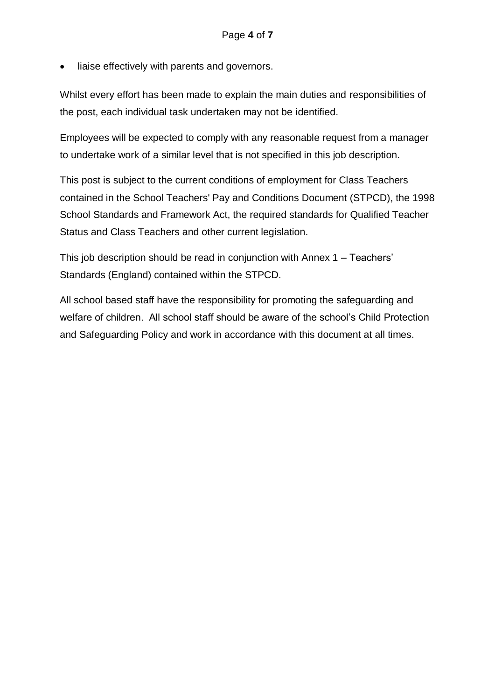• liaise effectively with parents and governors.

Whilst every effort has been made to explain the main duties and responsibilities of the post, each individual task undertaken may not be identified.

Employees will be expected to comply with any reasonable request from a manager to undertake work of a similar level that is not specified in this job description.

This post is subject to the current conditions of employment for Class Teachers contained in the School Teachers' Pay and Conditions Document (STPCD), the 1998 School Standards and Framework Act, the required standards for Qualified Teacher Status and Class Teachers and other current legislation.

This job description should be read in conjunction with Annex 1 – Teachers' Standards (England) contained within the STPCD.

All school based staff have the responsibility for promoting the safeguarding and welfare of children. All school staff should be aware of the school's Child Protection and Safeguarding Policy and work in accordance with this document at all times.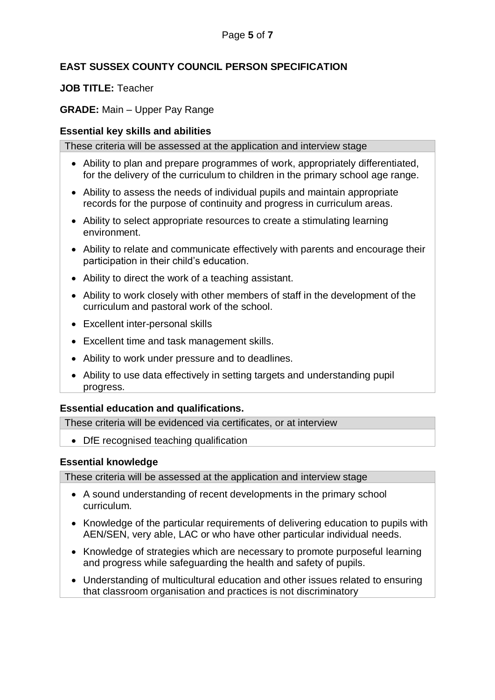# **EAST SUSSEX COUNTY COUNCIL PERSON SPECIFICATION**

#### **JOB TITLE:** Teacher

#### **GRADE:** Main – Upper Pay Range

#### **Essential key skills and abilities**

These criteria will be assessed at the application and interview stage

- Ability to plan and prepare programmes of work, appropriately differentiated, for the delivery of the curriculum to children in the primary school age range.
- Ability to assess the needs of individual pupils and maintain appropriate records for the purpose of continuity and progress in curriculum areas.
- Ability to select appropriate resources to create a stimulating learning environment.
- Ability to relate and communicate effectively with parents and encourage their participation in their child's education.
- Ability to direct the work of a teaching assistant.
- Ability to work closely with other members of staff in the development of the curriculum and pastoral work of the school.
- Excellent inter-personal skills
- Excellent time and task management skills.
- Ability to work under pressure and to deadlines.
- Ability to use data effectively in setting targets and understanding pupil progress.

#### **Essential education and qualifications.**

These criteria will be evidenced via certificates, or at interview

• DfE recognised teaching qualification

#### **Essential knowledge**

These criteria will be assessed at the application and interview stage

- A sound understanding of recent developments in the primary school curriculum.
- Knowledge of the particular requirements of delivering education to pupils with AEN/SEN, very able, LAC or who have other particular individual needs.
- Knowledge of strategies which are necessary to promote purposeful learning and progress while safeguarding the health and safety of pupils.
- Understanding of multicultural education and other issues related to ensuring that classroom organisation and practices is not discriminatory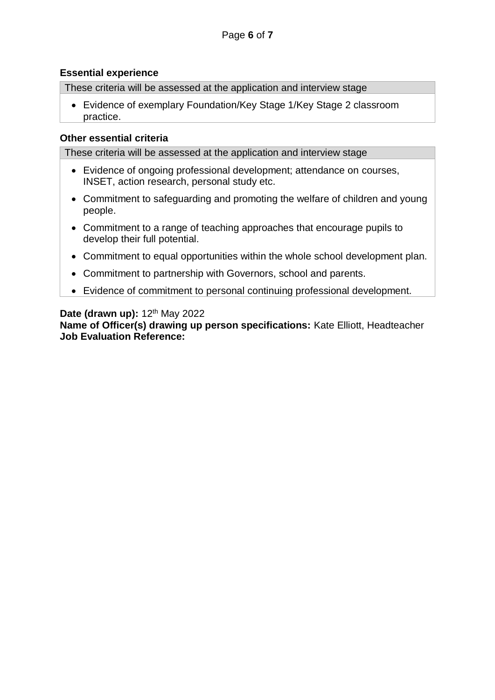### **Essential experience**

These criteria will be assessed at the application and interview stage

 Evidence of exemplary Foundation/Key Stage 1/Key Stage 2 classroom practice.

#### **Other essential criteria**

These criteria will be assessed at the application and interview stage

- Evidence of ongoing professional development; attendance on courses, INSET, action research, personal study etc.
- Commitment to safeguarding and promoting the welfare of children and young people.
- Commitment to a range of teaching approaches that encourage pupils to develop their full potential.
- Commitment to equal opportunities within the whole school development plan.
- Commitment to partnership with Governors, school and parents.
- Evidence of commitment to personal continuing professional development.

#### **Date (drawn up): 12<sup>th</sup> May 2022**

**Name of Officer(s) drawing up person specifications:** Kate Elliott, Headteacher **Job Evaluation Reference:**